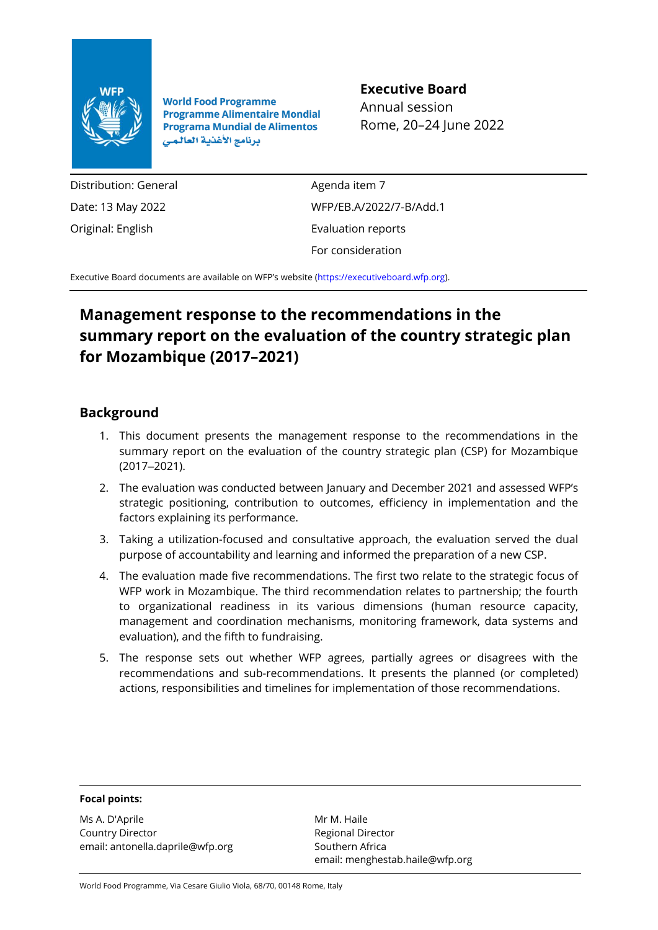

**World Food Programme Programme Alimentaire Mondial Programa Mundial de Alimentos** برنامج الأغذية العالمي

## **Executive Board**

Annual session Rome, 20–24 June 2022

Distribution: General Date: 13 May 2022 Original: English

Agenda item 7 WFP/EB.A/2022/7-B/Add.1 Evaluation reports For consideration

Executive Board documents are available on WFP's website [\(https://executiveboard.wfp.org\)](https://executiveboard.wfp.org/).

## **Management response to the recommendations in the summary report on the evaluation of the country strategic plan for Mozambique (2017–2021)**

## **Background**

- 1. This document presents the management response to the recommendations in the summary report on the evaluation of the country strategic plan (CSP) for Mozambique (2017‒2021).
- 2. The evaluation was conducted between January and December 2021 and assessed WFP's strategic positioning, contribution to outcomes, efficiency in implementation and the factors explaining its performance.
- 3. Taking a utilization-focused and consultative approach, the evaluation served the dual purpose of accountability and learning and informed the preparation of a new CSP.
- 4. The evaluation made five recommendations. The first two relate to the strategic focus of WFP work in Mozambique. The third recommendation relates to partnership; the fourth to organizational readiness in its various dimensions (human resource capacity, management and coordination mechanisms, monitoring framework, data systems and evaluation), and the fifth to fundraising.
- 5. The response sets out whether WFP agrees, partially agrees or disagrees with the recommendations and sub-recommendations. It presents the planned (or completed) actions, responsibilities and timelines for implementation of those recommendations.

## **Focal points:**

Ms A. D'Aprile Country Director email: antonella.daprile@wfp.org

Mr M. Haile Regional Director Southern Africa email: menghestab.haile@wfp.org

World Food Programme, Via Cesare Giulio Viola, 68/70, 00148 Rome, Italy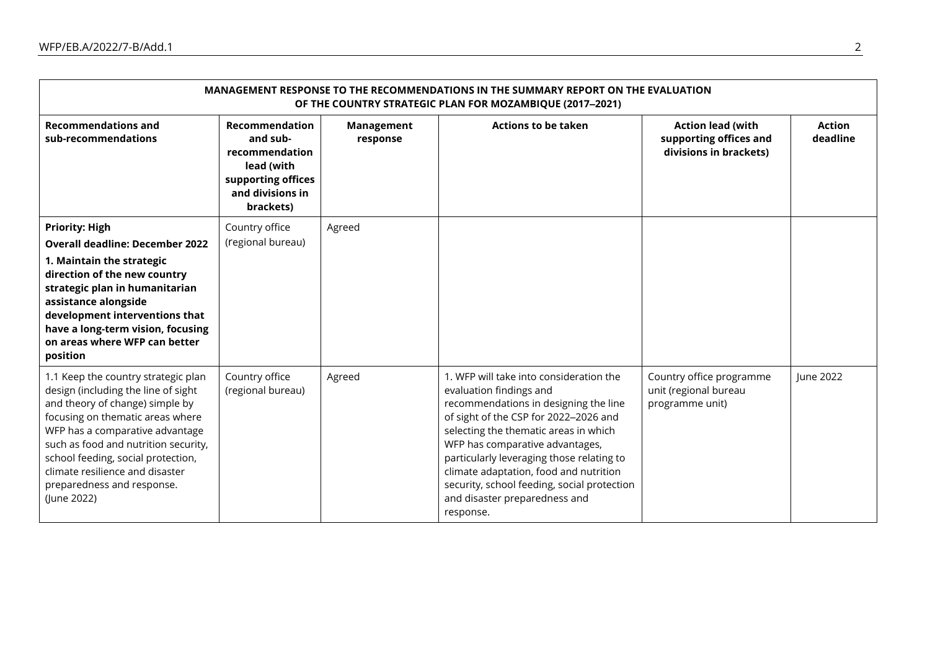| MANAGEMENT RESPONSE TO THE RECOMMENDATIONS IN THE SUMMARY REPORT ON THE EVALUATION<br>OF THE COUNTRY STRATEGIC PLAN FOR MOZAMBIQUE (2017-2021)                                                                                                                                                                                                     |                                                                                                                   |                        |                                                                                                                                                                                                                                                                                                                                                                                                                      |                                                                              |                           |  |  |
|----------------------------------------------------------------------------------------------------------------------------------------------------------------------------------------------------------------------------------------------------------------------------------------------------------------------------------------------------|-------------------------------------------------------------------------------------------------------------------|------------------------|----------------------------------------------------------------------------------------------------------------------------------------------------------------------------------------------------------------------------------------------------------------------------------------------------------------------------------------------------------------------------------------------------------------------|------------------------------------------------------------------------------|---------------------------|--|--|
| <b>Recommendations and</b><br>sub-recommendations                                                                                                                                                                                                                                                                                                  | Recommendation<br>and sub-<br>recommendation<br>lead (with<br>supporting offices<br>and divisions in<br>brackets) | Management<br>response | <b>Actions to be taken</b>                                                                                                                                                                                                                                                                                                                                                                                           | <b>Action lead (with</b><br>supporting offices and<br>divisions in brackets) | <b>Action</b><br>deadline |  |  |
| <b>Priority: High</b><br><b>Overall deadline: December 2022</b><br>1. Maintain the strategic<br>direction of the new country<br>strategic plan in humanitarian<br>assistance alongside<br>development interventions that<br>have a long-term vision, focusing<br>on areas where WFP can better<br>position                                         | Country office<br>(regional bureau)                                                                               | Agreed                 |                                                                                                                                                                                                                                                                                                                                                                                                                      |                                                                              |                           |  |  |
| 1.1 Keep the country strategic plan<br>design (including the line of sight<br>and theory of change) simple by<br>focusing on thematic areas where<br>WFP has a comparative advantage<br>such as food and nutrition security,<br>school feeding, social protection,<br>climate resilience and disaster<br>preparedness and response.<br>(June 2022) | Country office<br>(regional bureau)                                                                               | Agreed                 | 1. WFP will take into consideration the<br>evaluation findings and<br>recommendations in designing the line<br>of sight of the CSP for 2022-2026 and<br>selecting the thematic areas in which<br>WFP has comparative advantages,<br>particularly leveraging those relating to<br>climate adaptation, food and nutrition<br>security, school feeding, social protection<br>and disaster preparedness and<br>response. | Country office programme<br>unit (regional bureau<br>programme unit)         | June 2022                 |  |  |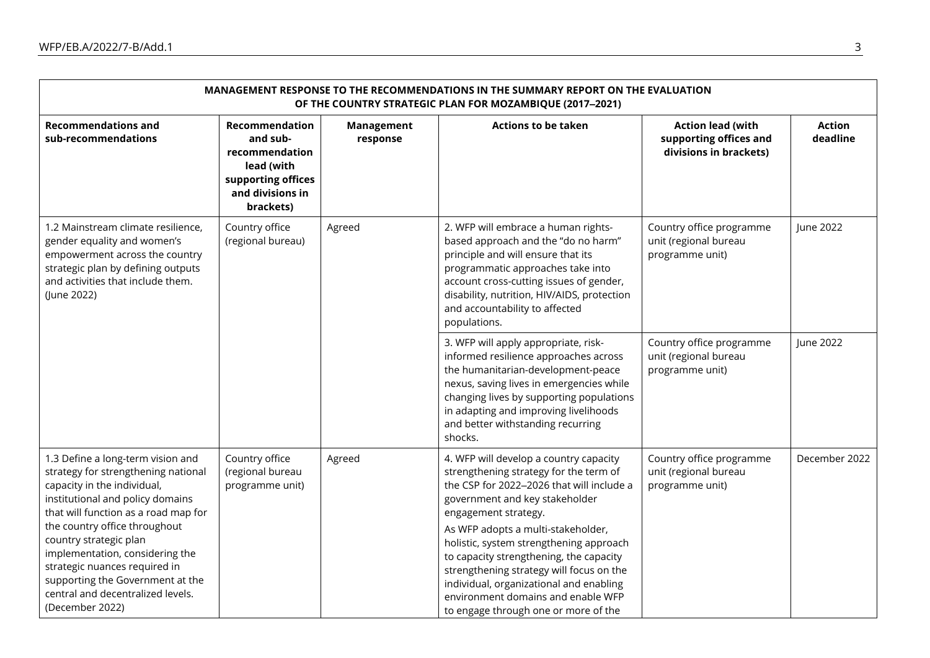| MANAGEMENT RESPONSE TO THE RECOMMENDATIONS IN THE SUMMARY REPORT ON THE EVALUATION<br>OF THE COUNTRY STRATEGIC PLAN FOR MOZAMBIQUE (2017-2021)                                                                                                                                                                                                                                                                 |                                                                                                                   |                        |                                                                                                                                                                                                                                                                                                                                                                                                                                                                                          |                                                                              |                           |  |  |  |
|----------------------------------------------------------------------------------------------------------------------------------------------------------------------------------------------------------------------------------------------------------------------------------------------------------------------------------------------------------------------------------------------------------------|-------------------------------------------------------------------------------------------------------------------|------------------------|------------------------------------------------------------------------------------------------------------------------------------------------------------------------------------------------------------------------------------------------------------------------------------------------------------------------------------------------------------------------------------------------------------------------------------------------------------------------------------------|------------------------------------------------------------------------------|---------------------------|--|--|--|
| <b>Recommendations and</b><br>sub-recommendations                                                                                                                                                                                                                                                                                                                                                              | Recommendation<br>and sub-<br>recommendation<br>lead (with<br>supporting offices<br>and divisions in<br>brackets) | Management<br>response | <b>Actions to be taken</b>                                                                                                                                                                                                                                                                                                                                                                                                                                                               | <b>Action lead (with</b><br>supporting offices and<br>divisions in brackets) | <b>Action</b><br>deadline |  |  |  |
| 1.2 Mainstream climate resilience,<br>gender equality and women's<br>empowerment across the country<br>strategic plan by defining outputs<br>and activities that include them.<br>(June 2022)                                                                                                                                                                                                                  | Country office<br>(regional bureau)                                                                               | Agreed                 | 2. WFP will embrace a human rights-<br>based approach and the "do no harm"<br>principle and will ensure that its<br>programmatic approaches take into<br>account cross-cutting issues of gender,<br>disability, nutrition, HIV/AIDS, protection<br>and accountability to affected<br>populations.                                                                                                                                                                                        | Country office programme<br>unit (regional bureau<br>programme unit)         | June 2022                 |  |  |  |
|                                                                                                                                                                                                                                                                                                                                                                                                                |                                                                                                                   |                        | 3. WFP will apply appropriate, risk-<br>informed resilience approaches across<br>the humanitarian-development-peace<br>nexus, saving lives in emergencies while<br>changing lives by supporting populations<br>in adapting and improving livelihoods<br>and better withstanding recurring<br>shocks.                                                                                                                                                                                     | Country office programme<br>unit (regional bureau<br>programme unit)         | June 2022                 |  |  |  |
| 1.3 Define a long-term vision and<br>strategy for strengthening national<br>capacity in the individual,<br>institutional and policy domains<br>that will function as a road map for<br>the country office throughout<br>country strategic plan<br>implementation, considering the<br>strategic nuances required in<br>supporting the Government at the<br>central and decentralized levels.<br>(December 2022) | Country office<br>(regional bureau<br>programme unit)                                                             | Agreed                 | 4. WFP will develop a country capacity<br>strengthening strategy for the term of<br>the CSP for 2022-2026 that will include a<br>government and key stakeholder<br>engagement strategy.<br>As WFP adopts a multi-stakeholder,<br>holistic, system strengthening approach<br>to capacity strengthening, the capacity<br>strengthening strategy will focus on the<br>individual, organizational and enabling<br>environment domains and enable WFP<br>to engage through one or more of the | Country office programme<br>unit (regional bureau<br>programme unit)         | December 2022             |  |  |  |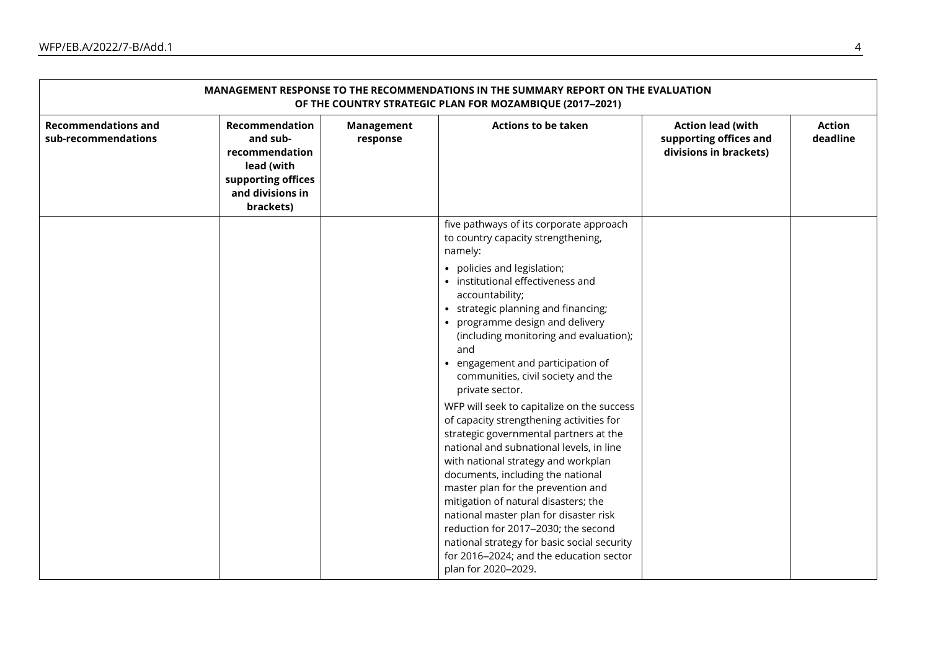| MANAGEMENT RESPONSE TO THE RECOMMENDATIONS IN THE SUMMARY REPORT ON THE EVALUATION<br>OF THE COUNTRY STRATEGIC PLAN FOR MOZAMBIQUE (2017-2021) |                                                                                                                   |                        |                                                                                                                                                                                                                                                                                                                                                                                                                                                                                                                                                                                                                                                                                                                                                    |                                                                              |                           |  |  |  |
|------------------------------------------------------------------------------------------------------------------------------------------------|-------------------------------------------------------------------------------------------------------------------|------------------------|----------------------------------------------------------------------------------------------------------------------------------------------------------------------------------------------------------------------------------------------------------------------------------------------------------------------------------------------------------------------------------------------------------------------------------------------------------------------------------------------------------------------------------------------------------------------------------------------------------------------------------------------------------------------------------------------------------------------------------------------------|------------------------------------------------------------------------------|---------------------------|--|--|--|
| <b>Recommendations and</b><br>sub-recommendations                                                                                              | Recommendation<br>and sub-<br>recommendation<br>lead (with<br>supporting offices<br>and divisions in<br>brackets) | Management<br>response | <b>Actions to be taken</b>                                                                                                                                                                                                                                                                                                                                                                                                                                                                                                                                                                                                                                                                                                                         | <b>Action lead (with</b><br>supporting offices and<br>divisions in brackets) | <b>Action</b><br>deadline |  |  |  |
|                                                                                                                                                |                                                                                                                   |                        | five pathways of its corporate approach<br>to country capacity strengthening,<br>namely:<br>• policies and legislation;<br>• institutional effectiveness and<br>accountability;<br>• strategic planning and financing;<br>• programme design and delivery<br>(including monitoring and evaluation);<br>and<br>• engagement and participation of<br>communities, civil society and the<br>private sector.<br>WFP will seek to capitalize on the success<br>of capacity strengthening activities for<br>strategic governmental partners at the<br>national and subnational levels, in line<br>with national strategy and workplan<br>documents, including the national<br>master plan for the prevention and<br>mitigation of natural disasters; the |                                                                              |                           |  |  |  |
|                                                                                                                                                |                                                                                                                   |                        | national master plan for disaster risk<br>reduction for 2017-2030; the second<br>national strategy for basic social security<br>for 2016-2024; and the education sector<br>plan for 2020-2029.                                                                                                                                                                                                                                                                                                                                                                                                                                                                                                                                                     |                                                                              |                           |  |  |  |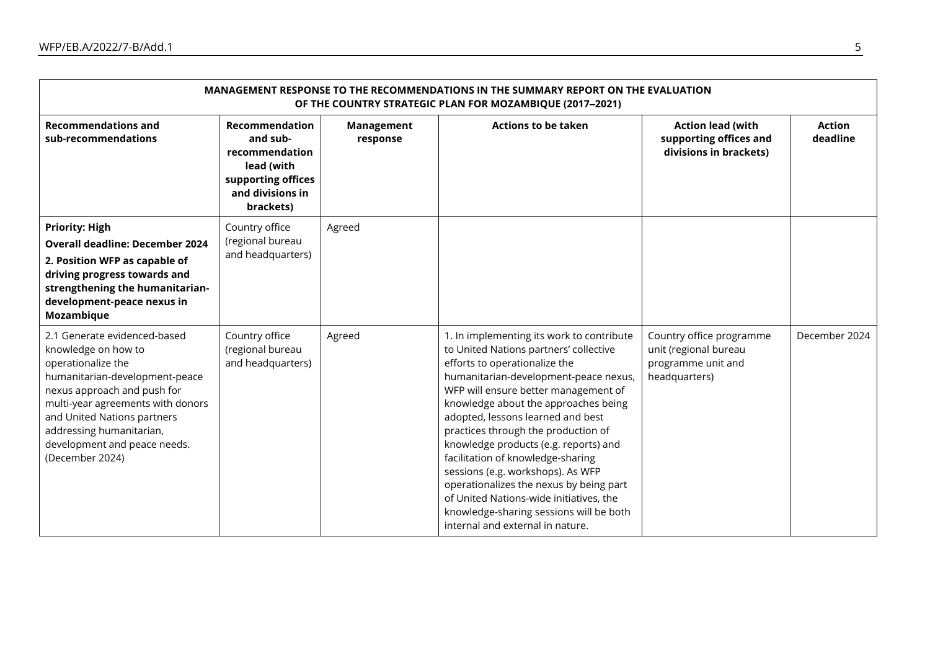| MANAGEMENT RESPONSE TO THE RECOMMENDATIONS IN THE SUMMARY REPORT ON THE EVALUATION<br>OF THE COUNTRY STRATEGIC PLAN FOR MOZAMBIQUE (2017-2021)                                                                                                                                                |                                                                                                                          |                        |                                                                                                                                                                                                                                                                                                                                                                                                                                                                                                                                                                                                                   |                                                                                          |                           |  |  |  |
|-----------------------------------------------------------------------------------------------------------------------------------------------------------------------------------------------------------------------------------------------------------------------------------------------|--------------------------------------------------------------------------------------------------------------------------|------------------------|-------------------------------------------------------------------------------------------------------------------------------------------------------------------------------------------------------------------------------------------------------------------------------------------------------------------------------------------------------------------------------------------------------------------------------------------------------------------------------------------------------------------------------------------------------------------------------------------------------------------|------------------------------------------------------------------------------------------|---------------------------|--|--|--|
| <b>Recommendations and</b><br>sub-recommendations                                                                                                                                                                                                                                             | <b>Recommendation</b><br>and sub-<br>recommendation<br>lead (with<br>supporting offices<br>and divisions in<br>brackets) | Management<br>response | <b>Actions to be taken</b>                                                                                                                                                                                                                                                                                                                                                                                                                                                                                                                                                                                        | <b>Action lead (with</b><br>supporting offices and<br>divisions in brackets)             | <b>Action</b><br>deadline |  |  |  |
| <b>Priority: High</b><br><b>Overall deadline: December 2024</b><br>2. Position WFP as capable of<br>driving progress towards and<br>strengthening the humanitarian-<br>development-peace nexus in<br>Mozambique                                                                               | Country office<br>(regional bureau<br>and headquarters)                                                                  | Agreed                 |                                                                                                                                                                                                                                                                                                                                                                                                                                                                                                                                                                                                                   |                                                                                          |                           |  |  |  |
| 2.1 Generate evidenced-based<br>knowledge on how to<br>operationalize the<br>humanitarian-development-peace<br>nexus approach and push for<br>multi-year agreements with donors<br>and United Nations partners<br>addressing humanitarian,<br>development and peace needs.<br>(December 2024) | Country office<br>(regional bureau<br>and headquarters)                                                                  | Agreed                 | 1. In implementing its work to contribute<br>to United Nations partners' collective<br>efforts to operationalize the<br>humanitarian-development-peace nexus,<br>WFP will ensure better management of<br>knowledge about the approaches being<br>adopted, lessons learned and best<br>practices through the production of<br>knowledge products (e.g. reports) and<br>facilitation of knowledge-sharing<br>sessions (e.g. workshops). As WFP<br>operationalizes the nexus by being part<br>of United Nations-wide initiatives, the<br>knowledge-sharing sessions will be both<br>internal and external in nature. | Country office programme<br>unit (regional bureau<br>programme unit and<br>headquarters) | December 2024             |  |  |  |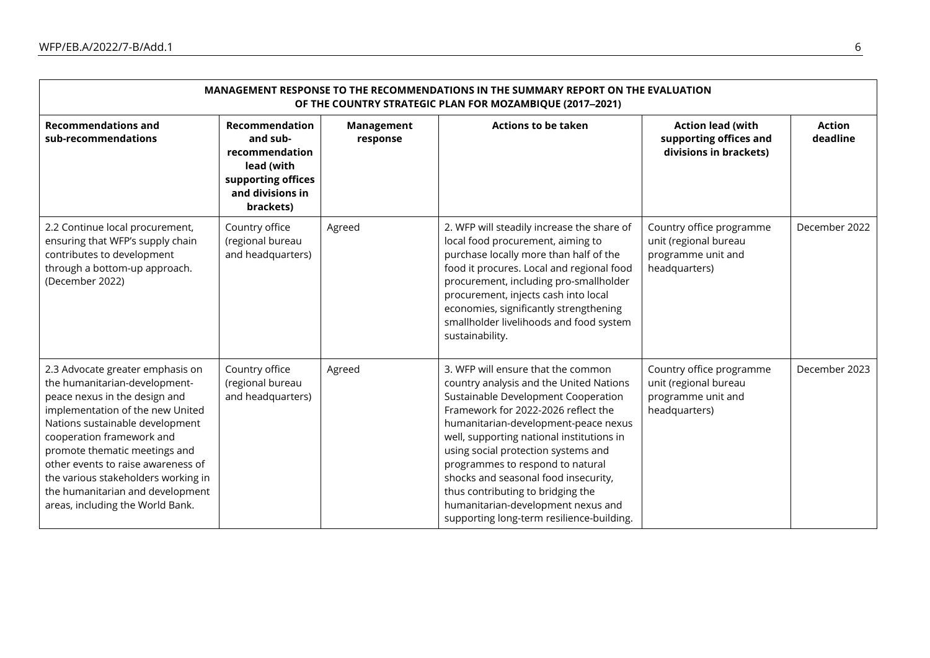| MANAGEMENT RESPONSE TO THE RECOMMENDATIONS IN THE SUMMARY REPORT ON THE EVALUATION<br>OF THE COUNTRY STRATEGIC PLAN FOR MOZAMBIQUE (2017-2021)                                                                                                                                                                                                                                               |                                                                                                                          |                        |                                                                                                                                                                                                                                                                                                                                                                                                                                                                                             |                                                                                          |                           |  |  |  |
|----------------------------------------------------------------------------------------------------------------------------------------------------------------------------------------------------------------------------------------------------------------------------------------------------------------------------------------------------------------------------------------------|--------------------------------------------------------------------------------------------------------------------------|------------------------|---------------------------------------------------------------------------------------------------------------------------------------------------------------------------------------------------------------------------------------------------------------------------------------------------------------------------------------------------------------------------------------------------------------------------------------------------------------------------------------------|------------------------------------------------------------------------------------------|---------------------------|--|--|--|
| <b>Recommendations and</b><br>sub-recommendations                                                                                                                                                                                                                                                                                                                                            | <b>Recommendation</b><br>and sub-<br>recommendation<br>lead (with<br>supporting offices<br>and divisions in<br>brackets) | Management<br>response | <b>Actions to be taken</b>                                                                                                                                                                                                                                                                                                                                                                                                                                                                  | <b>Action lead (with</b><br>supporting offices and<br>divisions in brackets)             | <b>Action</b><br>deadline |  |  |  |
| 2.2 Continue local procurement,<br>ensuring that WFP's supply chain<br>contributes to development<br>through a bottom-up approach.<br>(December 2022)                                                                                                                                                                                                                                        | Country office<br>(regional bureau<br>and headquarters)                                                                  | Agreed                 | 2. WFP will steadily increase the share of<br>local food procurement, aiming to<br>purchase locally more than half of the<br>food it procures. Local and regional food<br>procurement, including pro-smallholder<br>procurement, injects cash into local<br>economies, significantly strengthening<br>smallholder livelihoods and food system<br>sustainability.                                                                                                                            | Country office programme<br>unit (regional bureau<br>programme unit and<br>headquarters) | December 2022             |  |  |  |
| 2.3 Advocate greater emphasis on<br>the humanitarian-development-<br>peace nexus in the design and<br>implementation of the new United<br>Nations sustainable development<br>cooperation framework and<br>promote thematic meetings and<br>other events to raise awareness of<br>the various stakeholders working in<br>the humanitarian and development<br>areas, including the World Bank. | Country office<br>(regional bureau<br>and headquarters)                                                                  | Agreed                 | 3. WFP will ensure that the common<br>country analysis and the United Nations<br>Sustainable Development Cooperation<br>Framework for 2022-2026 reflect the<br>humanitarian-development-peace nexus<br>well, supporting national institutions in<br>using social protection systems and<br>programmes to respond to natural<br>shocks and seasonal food insecurity,<br>thus contributing to bridging the<br>humanitarian-development nexus and<br>supporting long-term resilience-building. | Country office programme<br>unit (regional bureau<br>programme unit and<br>headquarters) | December 2023             |  |  |  |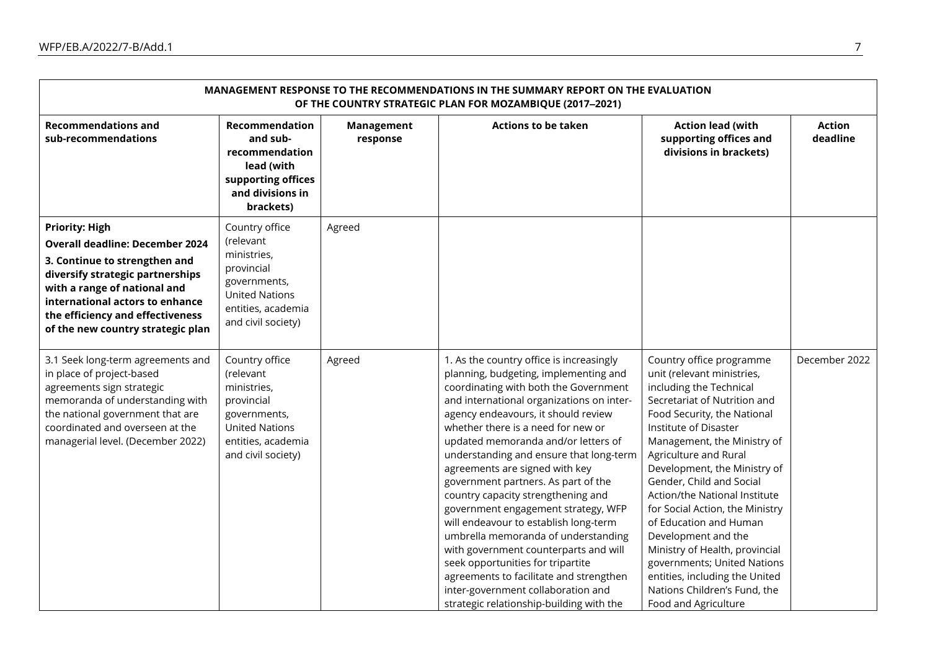| MANAGEMENT RESPONSE TO THE RECOMMENDATIONS IN THE SUMMARY REPORT ON THE EVALUATION<br>OF THE COUNTRY STRATEGIC PLAN FOR MOZAMBIQUE (2017-2021)                                                                                                                                   |                                                                                                                                               |                        |                                                                                                                                                                                                                                                                                                                                                                                                                                                                                                                                                                                                                                                                                                                                                                                         |                                                                                                                                                                                                                                                                                                                                                                                                                                                                                                                                                                               |                           |  |  |
|----------------------------------------------------------------------------------------------------------------------------------------------------------------------------------------------------------------------------------------------------------------------------------|-----------------------------------------------------------------------------------------------------------------------------------------------|------------------------|-----------------------------------------------------------------------------------------------------------------------------------------------------------------------------------------------------------------------------------------------------------------------------------------------------------------------------------------------------------------------------------------------------------------------------------------------------------------------------------------------------------------------------------------------------------------------------------------------------------------------------------------------------------------------------------------------------------------------------------------------------------------------------------------|-------------------------------------------------------------------------------------------------------------------------------------------------------------------------------------------------------------------------------------------------------------------------------------------------------------------------------------------------------------------------------------------------------------------------------------------------------------------------------------------------------------------------------------------------------------------------------|---------------------------|--|--|
| <b>Recommendations and</b><br>sub-recommendations                                                                                                                                                                                                                                | Recommendation<br>and sub-<br>recommendation<br>lead (with<br>supporting offices<br>and divisions in<br>brackets)                             | Management<br>response | <b>Actions to be taken</b>                                                                                                                                                                                                                                                                                                                                                                                                                                                                                                                                                                                                                                                                                                                                                              | <b>Action lead (with</b><br>supporting offices and<br>divisions in brackets)                                                                                                                                                                                                                                                                                                                                                                                                                                                                                                  | <b>Action</b><br>deadline |  |  |
| <b>Priority: High</b><br><b>Overall deadline: December 2024</b><br>3. Continue to strengthen and<br>diversify strategic partnerships<br>with a range of national and<br>international actors to enhance<br>the efficiency and effectiveness<br>of the new country strategic plan | Country office<br>(relevant<br>ministries,<br>provincial<br>governments,<br><b>United Nations</b><br>entities, academia<br>and civil society) | Agreed                 |                                                                                                                                                                                                                                                                                                                                                                                                                                                                                                                                                                                                                                                                                                                                                                                         |                                                                                                                                                                                                                                                                                                                                                                                                                                                                                                                                                                               |                           |  |  |
| 3.1 Seek long-term agreements and<br>in place of project-based<br>agreements sign strategic<br>memoranda of understanding with<br>the national government that are<br>coordinated and overseen at the<br>managerial level. (December 2022)                                       | Country office<br>(relevant<br>ministries,<br>provincial<br>governments,<br><b>United Nations</b><br>entities, academia<br>and civil society) | Agreed                 | 1. As the country office is increasingly<br>planning, budgeting, implementing and<br>coordinating with both the Government<br>and international organizations on inter-<br>agency endeavours, it should review<br>whether there is a need for new or<br>updated memoranda and/or letters of<br>understanding and ensure that long-term<br>agreements are signed with key<br>government partners. As part of the<br>country capacity strengthening and<br>government engagement strategy, WFP<br>will endeavour to establish long-term<br>umbrella memoranda of understanding<br>with government counterparts and will<br>seek opportunities for tripartite<br>agreements to facilitate and strengthen<br>inter-government collaboration and<br>strategic relationship-building with the | Country office programme<br>unit (relevant ministries,<br>including the Technical<br>Secretariat of Nutrition and<br>Food Security, the National<br>Institute of Disaster<br>Management, the Ministry of<br>Agriculture and Rural<br>Development, the Ministry of<br>Gender, Child and Social<br>Action/the National Institute<br>for Social Action, the Ministry<br>of Education and Human<br>Development and the<br>Ministry of Health, provincial<br>governments; United Nations<br>entities, including the United<br>Nations Children's Fund, the<br>Food and Agriculture | December 2022             |  |  |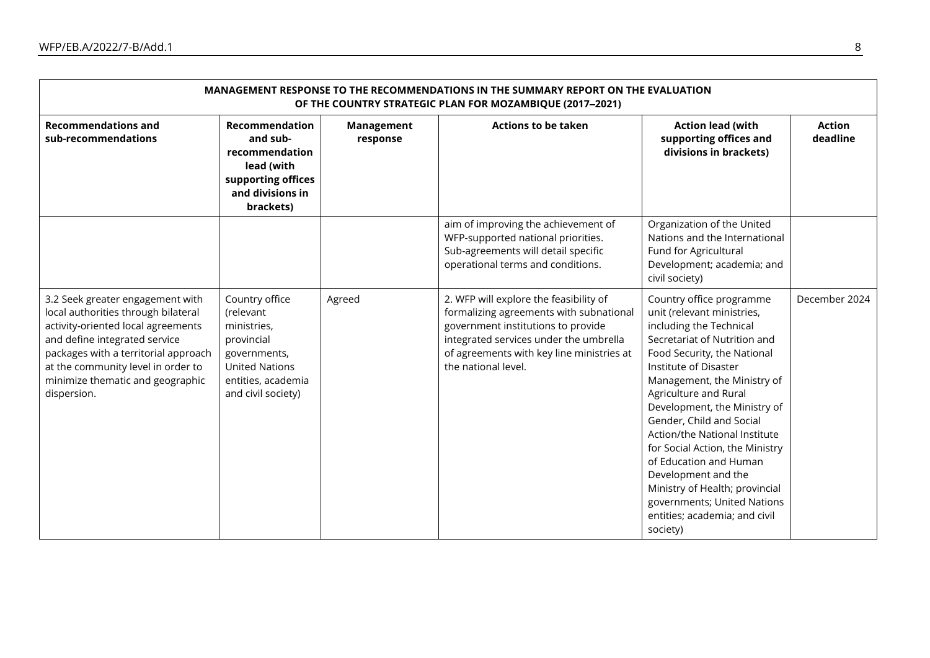| MANAGEMENT RESPONSE TO THE RECOMMENDATIONS IN THE SUMMARY REPORT ON THE EVALUATION<br>OF THE COUNTRY STRATEGIC PLAN FOR MOZAMBIQUE (2017-2021)                                                                                                                                  |                                                                                                                                               |                        |                                                                                                                                                                                                                                       |                                                                                                                                                                                                                                                                                                                                                                                                                                                                                                                                  |                           |  |  |  |
|---------------------------------------------------------------------------------------------------------------------------------------------------------------------------------------------------------------------------------------------------------------------------------|-----------------------------------------------------------------------------------------------------------------------------------------------|------------------------|---------------------------------------------------------------------------------------------------------------------------------------------------------------------------------------------------------------------------------------|----------------------------------------------------------------------------------------------------------------------------------------------------------------------------------------------------------------------------------------------------------------------------------------------------------------------------------------------------------------------------------------------------------------------------------------------------------------------------------------------------------------------------------|---------------------------|--|--|--|
| <b>Recommendations and</b><br>sub-recommendations                                                                                                                                                                                                                               | Recommendation<br>and sub-<br>recommendation<br>lead (with<br>supporting offices<br>and divisions in<br>brackets)                             | Management<br>response | <b>Actions to be taken</b>                                                                                                                                                                                                            | <b>Action lead (with</b><br>supporting offices and<br>divisions in brackets)                                                                                                                                                                                                                                                                                                                                                                                                                                                     | <b>Action</b><br>deadline |  |  |  |
|                                                                                                                                                                                                                                                                                 |                                                                                                                                               |                        | aim of improving the achievement of<br>WFP-supported national priorities.<br>Sub-agreements will detail specific<br>operational terms and conditions.                                                                                 | Organization of the United<br>Nations and the International<br>Fund for Agricultural<br>Development; academia; and<br>civil society)                                                                                                                                                                                                                                                                                                                                                                                             |                           |  |  |  |
| 3.2 Seek greater engagement with<br>local authorities through bilateral<br>activity-oriented local agreements<br>and define integrated service<br>packages with a territorial approach<br>at the community level in order to<br>minimize thematic and geographic<br>dispersion. | Country office<br>(relevant<br>ministries,<br>provincial<br>governments,<br><b>United Nations</b><br>entities, academia<br>and civil society) | Agreed                 | 2. WFP will explore the feasibility of<br>formalizing agreements with subnational<br>government institutions to provide<br>integrated services under the umbrella<br>of agreements with key line ministries at<br>the national level. | Country office programme<br>unit (relevant ministries,<br>including the Technical<br>Secretariat of Nutrition and<br>Food Security, the National<br>Institute of Disaster<br>Management, the Ministry of<br>Agriculture and Rural<br>Development, the Ministry of<br>Gender, Child and Social<br>Action/the National Institute<br>for Social Action, the Ministry<br>of Education and Human<br>Development and the<br>Ministry of Health; provincial<br>governments; United Nations<br>entities; academia; and civil<br>society) | December 2024             |  |  |  |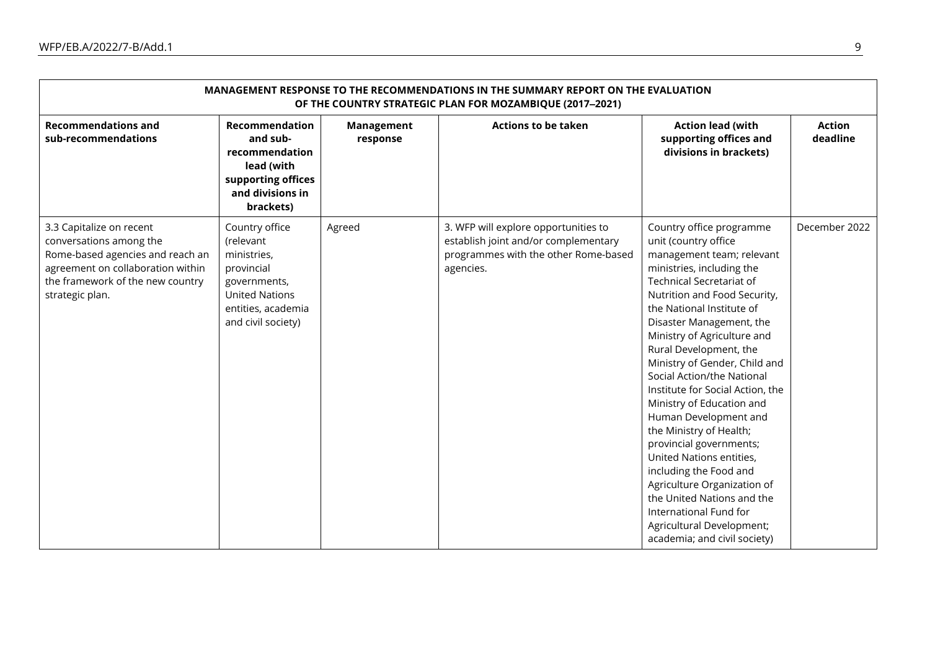| MANAGEMENT RESPONSE TO THE RECOMMENDATIONS IN THE SUMMARY REPORT ON THE EVALUATION<br>OF THE COUNTRY STRATEGIC PLAN FOR MOZAMBIQUE (2017-2021)                                      |                                                                                                                                               |                        |                                                                                                                                   |                                                                                                                                                                                                                                                                                                                                                                                                                                                                                                                                                                                                                                                                                                                          |                    |  |  |  |
|-------------------------------------------------------------------------------------------------------------------------------------------------------------------------------------|-----------------------------------------------------------------------------------------------------------------------------------------------|------------------------|-----------------------------------------------------------------------------------------------------------------------------------|--------------------------------------------------------------------------------------------------------------------------------------------------------------------------------------------------------------------------------------------------------------------------------------------------------------------------------------------------------------------------------------------------------------------------------------------------------------------------------------------------------------------------------------------------------------------------------------------------------------------------------------------------------------------------------------------------------------------------|--------------------|--|--|--|
| <b>Recommendations and</b><br>sub-recommendations                                                                                                                                   | <b>Recommendation</b><br>and sub-<br>recommendation<br>lead (with<br>supporting offices<br>and divisions in<br>brackets)                      | Management<br>response | <b>Actions to be taken</b>                                                                                                        | <b>Action lead (with</b><br>supporting offices and<br>divisions in brackets)                                                                                                                                                                                                                                                                                                                                                                                                                                                                                                                                                                                                                                             | Action<br>deadline |  |  |  |
| 3.3 Capitalize on recent<br>conversations among the<br>Rome-based agencies and reach an<br>agreement on collaboration within<br>the framework of the new country<br>strategic plan. | Country office<br>(relevant<br>ministries,<br>provincial<br>governments,<br><b>United Nations</b><br>entities, academia<br>and civil society) | Agreed                 | 3. WFP will explore opportunities to<br>establish joint and/or complementary<br>programmes with the other Rome-based<br>agencies. | Country office programme<br>unit (country office<br>management team; relevant<br>ministries, including the<br><b>Technical Secretariat of</b><br>Nutrition and Food Security,<br>the National Institute of<br>Disaster Management, the<br>Ministry of Agriculture and<br>Rural Development, the<br>Ministry of Gender, Child and<br>Social Action/the National<br>Institute for Social Action, the<br>Ministry of Education and<br>Human Development and<br>the Ministry of Health;<br>provincial governments;<br>United Nations entities,<br>including the Food and<br>Agriculture Organization of<br>the United Nations and the<br>International Fund for<br>Agricultural Development;<br>academia; and civil society) | December 2022      |  |  |  |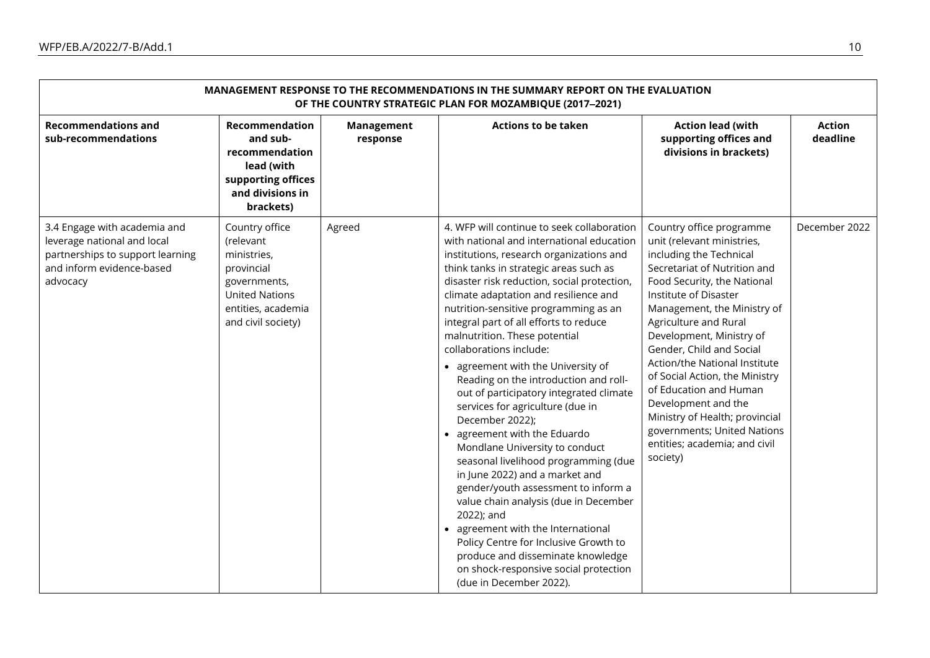| MANAGEMENT RESPONSE TO THE RECOMMENDATIONS IN THE SUMMARY REPORT ON THE EVALUATION<br>OF THE COUNTRY STRATEGIC PLAN FOR MOZAMBIQUE (2017-2021) |                                                                                                                                               |                        |                                                                                                                                                                                                                                                                                                                                                                                                                                                                                                                                                                                                                                                                                                                                                                                                                                                                                                                                                                                                                                         |                                                                                                                                                                                                                                                                                                                                                                                                                                                                                                                             |                           |  |  |
|------------------------------------------------------------------------------------------------------------------------------------------------|-----------------------------------------------------------------------------------------------------------------------------------------------|------------------------|-----------------------------------------------------------------------------------------------------------------------------------------------------------------------------------------------------------------------------------------------------------------------------------------------------------------------------------------------------------------------------------------------------------------------------------------------------------------------------------------------------------------------------------------------------------------------------------------------------------------------------------------------------------------------------------------------------------------------------------------------------------------------------------------------------------------------------------------------------------------------------------------------------------------------------------------------------------------------------------------------------------------------------------------|-----------------------------------------------------------------------------------------------------------------------------------------------------------------------------------------------------------------------------------------------------------------------------------------------------------------------------------------------------------------------------------------------------------------------------------------------------------------------------------------------------------------------------|---------------------------|--|--|
| <b>Recommendations and</b><br>sub-recommendations                                                                                              | Recommendation<br>and sub-<br>recommendation<br>lead (with<br>supporting offices<br>and divisions in<br>brackets)                             | Management<br>response | <b>Actions to be taken</b>                                                                                                                                                                                                                                                                                                                                                                                                                                                                                                                                                                                                                                                                                                                                                                                                                                                                                                                                                                                                              | <b>Action lead (with</b><br>supporting offices and<br>divisions in brackets)                                                                                                                                                                                                                                                                                                                                                                                                                                                | <b>Action</b><br>deadline |  |  |
| 3.4 Engage with academia and<br>leverage national and local<br>partnerships to support learning<br>and inform evidence-based<br>advocacy       | Country office<br>(relevant<br>ministries,<br>provincial<br>governments,<br><b>United Nations</b><br>entities, academia<br>and civil society) | Agreed                 | 4. WFP will continue to seek collaboration<br>with national and international education<br>institutions, research organizations and<br>think tanks in strategic areas such as<br>disaster risk reduction, social protection,<br>climate adaptation and resilience and<br>nutrition-sensitive programming as an<br>integral part of all efforts to reduce<br>malnutrition. These potential<br>collaborations include:<br>• agreement with the University of<br>Reading on the introduction and roll-<br>out of participatory integrated climate<br>services for agriculture (due in<br>December 2022);<br>• agreement with the Eduardo<br>Mondlane University to conduct<br>seasonal livelihood programming (due<br>in June 2022) and a market and<br>gender/youth assessment to inform a<br>value chain analysis (due in December<br>2022); and<br>• agreement with the International<br>Policy Centre for Inclusive Growth to<br>produce and disseminate knowledge<br>on shock-responsive social protection<br>(due in December 2022). | Country office programme<br>unit (relevant ministries,<br>including the Technical<br>Secretariat of Nutrition and<br>Food Security, the National<br>Institute of Disaster<br>Management, the Ministry of<br>Agriculture and Rural<br>Development, Ministry of<br>Gender, Child and Social<br>Action/the National Institute<br>of Social Action, the Ministry<br>of Education and Human<br>Development and the<br>Ministry of Health; provincial<br>governments; United Nations<br>entities; academia; and civil<br>society) | December 2022             |  |  |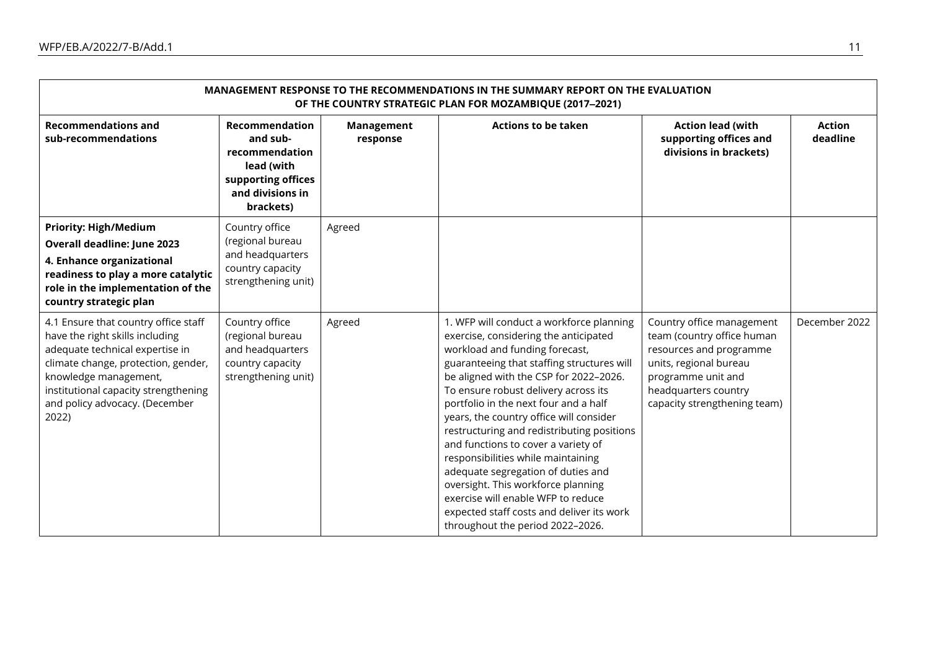| MANAGEMENT RESPONSE TO THE RECOMMENDATIONS IN THE SUMMARY REPORT ON THE EVALUATION<br>OF THE COUNTRY STRATEGIC PLAN FOR MOZAMBIQUE (2017-2021)                                                                                                                |                                                                                                                   |                               |                                                                                                                                                                                                                                                                                                                                                                                                                                                                                                                                                                                                                                                                       |                                                                                                                                                                                            |                           |  |  |  |
|---------------------------------------------------------------------------------------------------------------------------------------------------------------------------------------------------------------------------------------------------------------|-------------------------------------------------------------------------------------------------------------------|-------------------------------|-----------------------------------------------------------------------------------------------------------------------------------------------------------------------------------------------------------------------------------------------------------------------------------------------------------------------------------------------------------------------------------------------------------------------------------------------------------------------------------------------------------------------------------------------------------------------------------------------------------------------------------------------------------------------|--------------------------------------------------------------------------------------------------------------------------------------------------------------------------------------------|---------------------------|--|--|--|
| <b>Recommendations and</b><br>sub-recommendations                                                                                                                                                                                                             | Recommendation<br>and sub-<br>recommendation<br>lead (with<br>supporting offices<br>and divisions in<br>brackets) | <b>Management</b><br>response | <b>Actions to be taken</b>                                                                                                                                                                                                                                                                                                                                                                                                                                                                                                                                                                                                                                            | <b>Action lead (with</b><br>supporting offices and<br>divisions in brackets)                                                                                                               | <b>Action</b><br>deadline |  |  |  |
| <b>Priority: High/Medium</b><br><b>Overall deadline: June 2023</b><br>4. Enhance organizational<br>readiness to play a more catalytic<br>role in the implementation of the<br>country strategic plan                                                          | Country office<br>(regional bureau<br>and headquarters<br>country capacity<br>strengthening unit)                 | Agreed                        |                                                                                                                                                                                                                                                                                                                                                                                                                                                                                                                                                                                                                                                                       |                                                                                                                                                                                            |                           |  |  |  |
| 4.1 Ensure that country office staff<br>have the right skills including<br>adequate technical expertise in<br>climate change, protection, gender,<br>knowledge management,<br>institutional capacity strengthening<br>and policy advocacy. (December<br>2022) | Country office<br>(regional bureau<br>and headquarters<br>country capacity<br>strengthening unit)                 | Agreed                        | 1. WFP will conduct a workforce planning<br>exercise, considering the anticipated<br>workload and funding forecast,<br>guaranteeing that staffing structures will<br>be aligned with the CSP for 2022-2026.<br>To ensure robust delivery across its<br>portfolio in the next four and a half<br>years, the country office will consider<br>restructuring and redistributing positions<br>and functions to cover a variety of<br>responsibilities while maintaining<br>adequate segregation of duties and<br>oversight. This workforce planning<br>exercise will enable WFP to reduce<br>expected staff costs and deliver its work<br>throughout the period 2022-2026. | Country office management<br>team (country office human<br>resources and programme<br>units, regional bureau<br>programme unit and<br>headquarters country<br>capacity strengthening team) | December 2022             |  |  |  |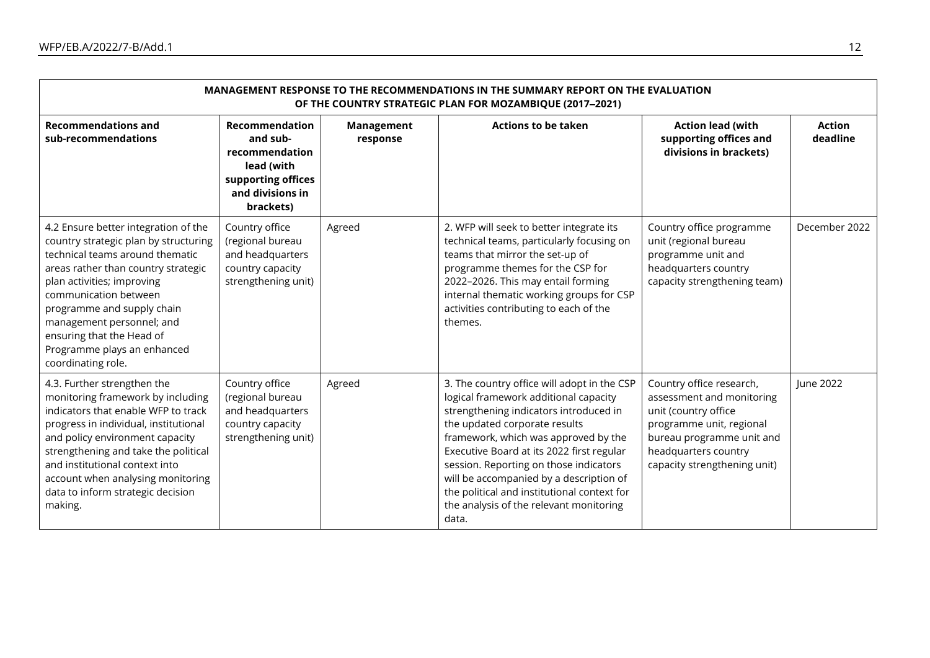| MANAGEMENT RESPONSE TO THE RECOMMENDATIONS IN THE SUMMARY REPORT ON THE EVALUATION<br>OF THE COUNTRY STRATEGIC PLAN FOR MOZAMBIQUE (2017-2021)                                                                                                                                                                                                              |                                                                                                                          |                        |                                                                                                                                                                                                                                                                                                                                                                                                                                              |                                                                                                                                                                                                |                           |  |  |  |
|-------------------------------------------------------------------------------------------------------------------------------------------------------------------------------------------------------------------------------------------------------------------------------------------------------------------------------------------------------------|--------------------------------------------------------------------------------------------------------------------------|------------------------|----------------------------------------------------------------------------------------------------------------------------------------------------------------------------------------------------------------------------------------------------------------------------------------------------------------------------------------------------------------------------------------------------------------------------------------------|------------------------------------------------------------------------------------------------------------------------------------------------------------------------------------------------|---------------------------|--|--|--|
| <b>Recommendations and</b><br>sub-recommendations                                                                                                                                                                                                                                                                                                           | <b>Recommendation</b><br>and sub-<br>recommendation<br>lead (with<br>supporting offices<br>and divisions in<br>brackets) | Management<br>response | <b>Actions to be taken</b>                                                                                                                                                                                                                                                                                                                                                                                                                   | <b>Action lead (with</b><br>supporting offices and<br>divisions in brackets)                                                                                                                   | <b>Action</b><br>deadline |  |  |  |
| 4.2 Ensure better integration of the<br>country strategic plan by structuring<br>technical teams around thematic<br>areas rather than country strategic<br>plan activities; improving<br>communication between<br>programme and supply chain<br>management personnel; and<br>ensuring that the Head of<br>Programme plays an enhanced<br>coordinating role. | Country office<br>(regional bureau<br>and headquarters<br>country capacity<br>strengthening unit)                        | Agreed                 | 2. WFP will seek to better integrate its<br>technical teams, particularly focusing on<br>teams that mirror the set-up of<br>programme themes for the CSP for<br>2022-2026. This may entail forming<br>internal thematic working groups for CSP<br>activities contributing to each of the<br>themes.                                                                                                                                          | Country office programme<br>unit (regional bureau<br>programme unit and<br>headquarters country<br>capacity strengthening team)                                                                | December 2022             |  |  |  |
| 4.3. Further strengthen the<br>monitoring framework by including<br>indicators that enable WFP to track<br>progress in individual, institutional<br>and policy environment capacity<br>strengthening and take the political<br>and institutional context into<br>account when analysing monitoring<br>data to inform strategic decision<br>making.          | Country office<br>(regional bureau<br>and headquarters<br>country capacity<br>strengthening unit)                        | Agreed                 | 3. The country office will adopt in the CSP<br>logical framework additional capacity<br>strengthening indicators introduced in<br>the updated corporate results<br>framework, which was approved by the<br>Executive Board at its 2022 first regular<br>session. Reporting on those indicators<br>will be accompanied by a description of<br>the political and institutional context for<br>the analysis of the relevant monitoring<br>data. | Country office research,<br>assessment and monitoring<br>unit (country office<br>programme unit, regional<br>bureau programme unit and<br>headquarters country<br>capacity strengthening unit) | <b>lune 2022</b>          |  |  |  |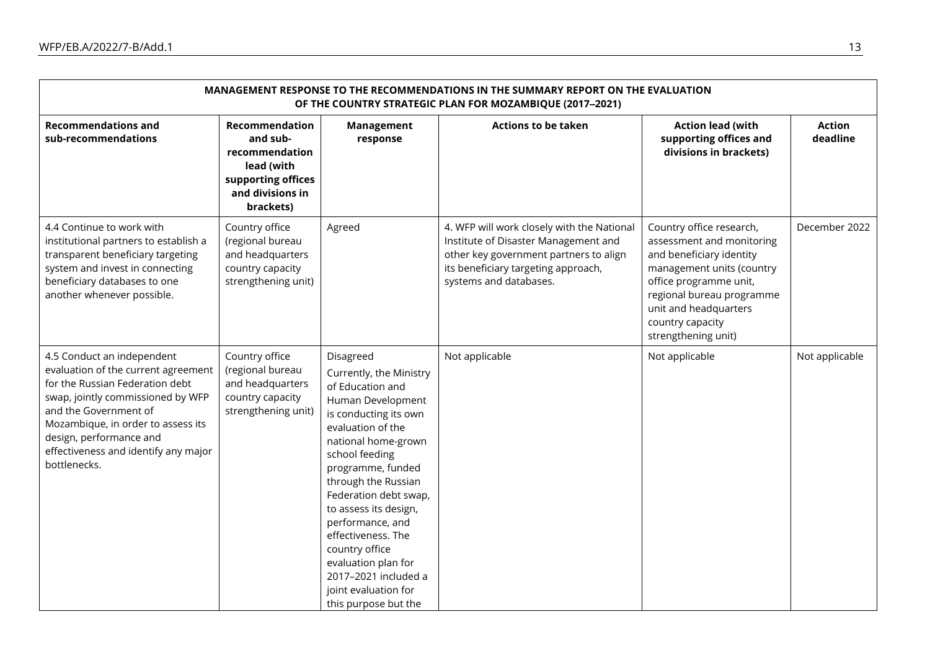| MANAGEMENT RESPONSE TO THE RECOMMENDATIONS IN THE SUMMARY REPORT ON THE EVALUATION<br>OF THE COUNTRY STRATEGIC PLAN FOR MOZAMBIQUE (2017-2021)                                                                                                                                              |                                                                                                                   |                                                                                                                                                                                                                                                                                                                                                                                                                               |                                                                                                                                                                                               |                                                                                                                                                                                                                                           |                           |  |  |  |
|---------------------------------------------------------------------------------------------------------------------------------------------------------------------------------------------------------------------------------------------------------------------------------------------|-------------------------------------------------------------------------------------------------------------------|-------------------------------------------------------------------------------------------------------------------------------------------------------------------------------------------------------------------------------------------------------------------------------------------------------------------------------------------------------------------------------------------------------------------------------|-----------------------------------------------------------------------------------------------------------------------------------------------------------------------------------------------|-------------------------------------------------------------------------------------------------------------------------------------------------------------------------------------------------------------------------------------------|---------------------------|--|--|--|
| <b>Recommendations and</b><br>sub-recommendations                                                                                                                                                                                                                                           | Recommendation<br>and sub-<br>recommendation<br>lead (with<br>supporting offices<br>and divisions in<br>brackets) | Management<br>response                                                                                                                                                                                                                                                                                                                                                                                                        | <b>Actions to be taken</b>                                                                                                                                                                    | <b>Action lead (with</b><br>supporting offices and<br>divisions in brackets)                                                                                                                                                              | <b>Action</b><br>deadline |  |  |  |
| 4.4 Continue to work with<br>institutional partners to establish a<br>transparent beneficiary targeting<br>system and invest in connecting<br>beneficiary databases to one<br>another whenever possible.                                                                                    | Country office<br>(regional bureau<br>and headquarters<br>country capacity<br>strengthening unit)                 | Agreed                                                                                                                                                                                                                                                                                                                                                                                                                        | 4. WFP will work closely with the National<br>Institute of Disaster Management and<br>other key government partners to align<br>its beneficiary targeting approach,<br>systems and databases. | Country office research,<br>assessment and monitoring<br>and beneficiary identity<br>management units (country<br>office programme unit,<br>regional bureau programme<br>unit and headquarters<br>country capacity<br>strengthening unit) | December 2022             |  |  |  |
| 4.5 Conduct an independent<br>evaluation of the current agreement<br>for the Russian Federation debt<br>swap, jointly commissioned by WFP<br>and the Government of<br>Mozambique, in order to assess its<br>design, performance and<br>effectiveness and identify any major<br>bottlenecks. | Country office<br>(regional bureau<br>and headquarters<br>country capacity<br>strengthening unit)                 | Disagreed<br>Currently, the Ministry<br>of Education and<br>Human Development<br>is conducting its own<br>evaluation of the<br>national home-grown<br>school feeding<br>programme, funded<br>through the Russian<br>Federation debt swap,<br>to assess its design,<br>performance, and<br>effectiveness. The<br>country office<br>evaluation plan for<br>2017-2021 included a<br>joint evaluation for<br>this purpose but the | Not applicable                                                                                                                                                                                | Not applicable                                                                                                                                                                                                                            | Not applicable            |  |  |  |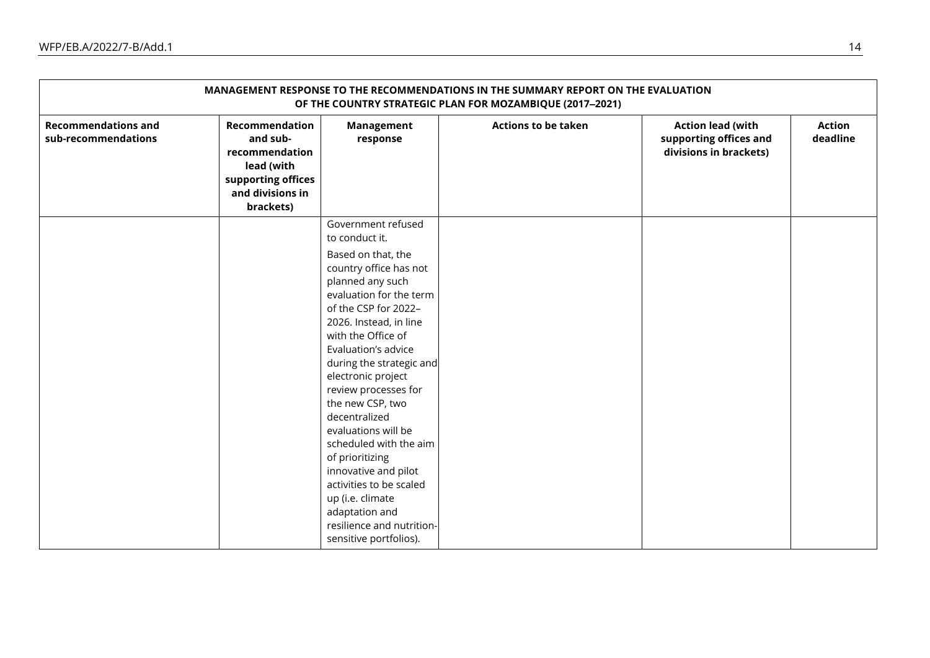| MANAGEMENT RESPONSE TO THE RECOMMENDATIONS IN THE SUMMARY REPORT ON THE EVALUATION<br>OF THE COUNTRY STRATEGIC PLAN FOR MOZAMBIQUE (2017-2021) |                                                                                                                   |                                                                                                                                                                                                                                                                                                                                 |                            |                                                                              |                           |  |
|------------------------------------------------------------------------------------------------------------------------------------------------|-------------------------------------------------------------------------------------------------------------------|---------------------------------------------------------------------------------------------------------------------------------------------------------------------------------------------------------------------------------------------------------------------------------------------------------------------------------|----------------------------|------------------------------------------------------------------------------|---------------------------|--|
| <b>Recommendations and</b><br>sub-recommendations                                                                                              | Recommendation<br>and sub-<br>recommendation<br>lead (with<br>supporting offices<br>and divisions in<br>brackets) | Management<br>response                                                                                                                                                                                                                                                                                                          | <b>Actions to be taken</b> | <b>Action lead (with</b><br>supporting offices and<br>divisions in brackets) | <b>Action</b><br>deadline |  |
|                                                                                                                                                |                                                                                                                   | to conduct it.<br>Based on that, the<br>country office has not<br>planned any such<br>evaluation for the term<br>of the CSP for 2022-<br>2026. Instead, in line<br>with the Office of<br>Evaluation's advice                                                                                                                    |                            |                                                                              |                           |  |
|                                                                                                                                                |                                                                                                                   | during the strategic and<br>electronic project<br>review processes for<br>the new CSP, two<br>decentralized<br>evaluations will be<br>scheduled with the aim<br>of prioritizing<br>innovative and pilot<br>activities to be scaled<br>up (i.e. climate<br>adaptation and<br>resilience and nutrition-<br>sensitive portfolios). |                            |                                                                              |                           |  |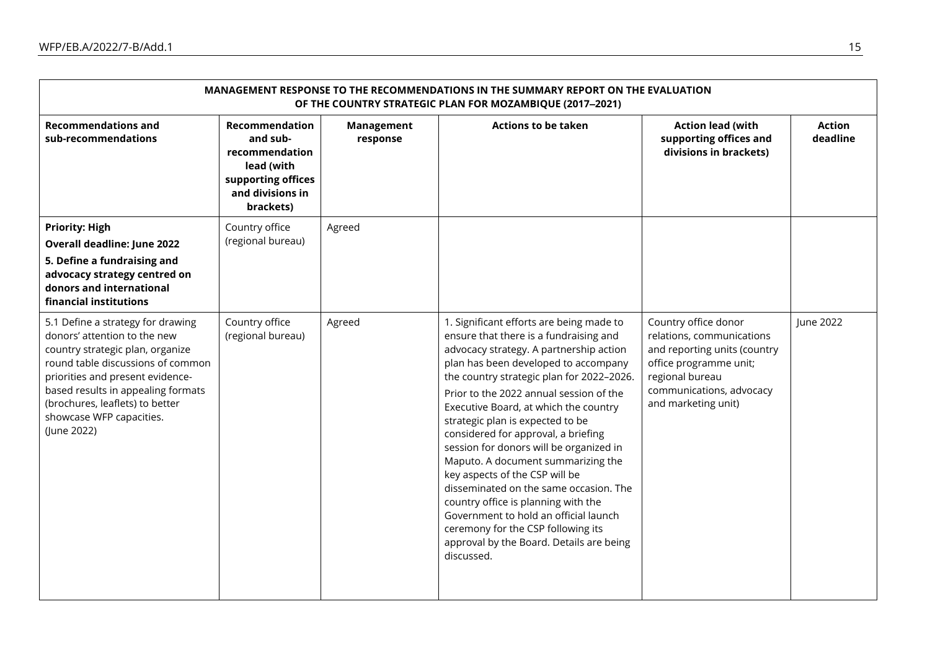| MANAGEMENT RESPONSE TO THE RECOMMENDATIONS IN THE SUMMARY REPORT ON THE EVALUATION<br>OF THE COUNTRY STRATEGIC PLAN FOR MOZAMBIQUE (2017-2021)                                                                                                                                                     |                                                                                                                          |                        |                                                                                                                                                                                                                                                                                                                                                                                                                                                                                                                                                                                                                                                                                                                                |                                                                                                                                                                                   |                           |  |
|----------------------------------------------------------------------------------------------------------------------------------------------------------------------------------------------------------------------------------------------------------------------------------------------------|--------------------------------------------------------------------------------------------------------------------------|------------------------|--------------------------------------------------------------------------------------------------------------------------------------------------------------------------------------------------------------------------------------------------------------------------------------------------------------------------------------------------------------------------------------------------------------------------------------------------------------------------------------------------------------------------------------------------------------------------------------------------------------------------------------------------------------------------------------------------------------------------------|-----------------------------------------------------------------------------------------------------------------------------------------------------------------------------------|---------------------------|--|
| <b>Recommendations and</b><br>sub-recommendations                                                                                                                                                                                                                                                  | <b>Recommendation</b><br>and sub-<br>recommendation<br>lead (with<br>supporting offices<br>and divisions in<br>brackets) | Management<br>response | <b>Actions to be taken</b>                                                                                                                                                                                                                                                                                                                                                                                                                                                                                                                                                                                                                                                                                                     | <b>Action lead (with</b><br>supporting offices and<br>divisions in brackets)                                                                                                      | <b>Action</b><br>deadline |  |
| <b>Priority: High</b><br><b>Overall deadline: June 2022</b><br>5. Define a fundraising and<br>advocacy strategy centred on<br>donors and international<br>financial institutions                                                                                                                   | Country office<br>(regional bureau)                                                                                      | Agreed                 |                                                                                                                                                                                                                                                                                                                                                                                                                                                                                                                                                                                                                                                                                                                                |                                                                                                                                                                                   |                           |  |
| 5.1 Define a strategy for drawing<br>donors' attention to the new<br>country strategic plan, organize<br>round table discussions of common<br>priorities and present evidence-<br>based results in appealing formats<br>(brochures, leaflets) to better<br>showcase WFP capacities.<br>(June 2022) | Country office<br>(regional bureau)                                                                                      | Agreed                 | 1. Significant efforts are being made to<br>ensure that there is a fundraising and<br>advocacy strategy. A partnership action<br>plan has been developed to accompany<br>the country strategic plan for 2022-2026.<br>Prior to the 2022 annual session of the<br>Executive Board, at which the country<br>strategic plan is expected to be<br>considered for approval, a briefing<br>session for donors will be organized in<br>Maputo. A document summarizing the<br>key aspects of the CSP will be<br>disseminated on the same occasion. The<br>country office is planning with the<br>Government to hold an official launch<br>ceremony for the CSP following its<br>approval by the Board. Details are being<br>discussed. | Country office donor<br>relations, communications<br>and reporting units (country<br>office programme unit;<br>regional bureau<br>communications, advocacy<br>and marketing unit) | June 2022                 |  |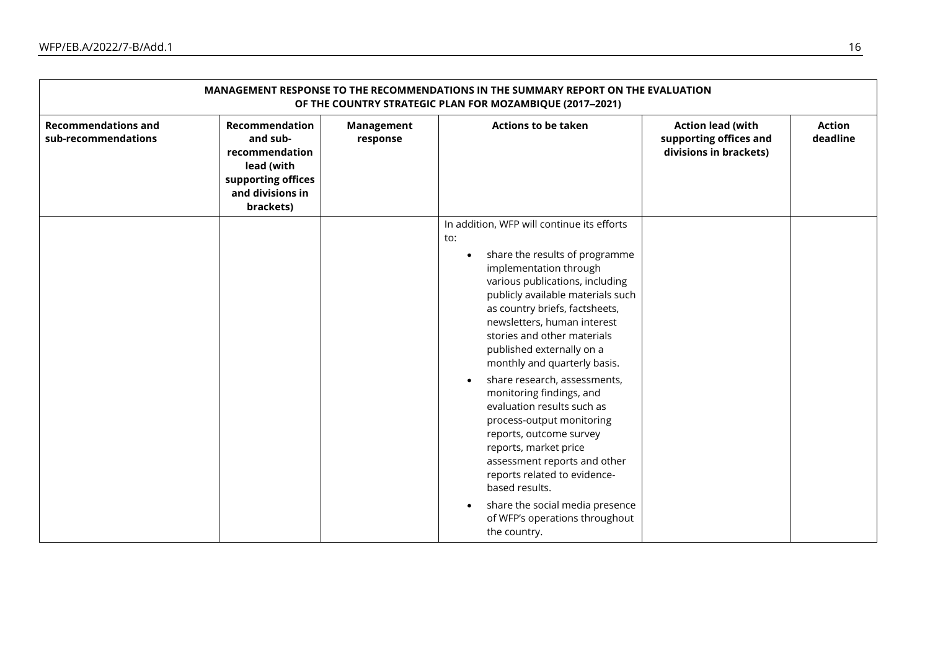| MANAGEMENT RESPONSE TO THE RECOMMENDATIONS IN THE SUMMARY REPORT ON THE EVALUATION<br>OF THE COUNTRY STRATEGIC PLAN FOR MOZAMBIQUE (2017-2021) |                                                                                                                   |                               |                                                                                                                                                                                                                                                                                                                                                                                                                                                                                                                                                                                                                                                                                                                                             |                                                                              |                           |  |
|------------------------------------------------------------------------------------------------------------------------------------------------|-------------------------------------------------------------------------------------------------------------------|-------------------------------|---------------------------------------------------------------------------------------------------------------------------------------------------------------------------------------------------------------------------------------------------------------------------------------------------------------------------------------------------------------------------------------------------------------------------------------------------------------------------------------------------------------------------------------------------------------------------------------------------------------------------------------------------------------------------------------------------------------------------------------------|------------------------------------------------------------------------------|---------------------------|--|
| <b>Recommendations and</b><br>sub-recommendations                                                                                              | Recommendation<br>and sub-<br>recommendation<br>lead (with<br>supporting offices<br>and divisions in<br>brackets) | <b>Management</b><br>response | <b>Actions to be taken</b>                                                                                                                                                                                                                                                                                                                                                                                                                                                                                                                                                                                                                                                                                                                  | <b>Action lead (with</b><br>supporting offices and<br>divisions in brackets) | <b>Action</b><br>deadline |  |
|                                                                                                                                                |                                                                                                                   |                               | In addition, WFP will continue its efforts<br>to:<br>share the results of programme<br>$\bullet$<br>implementation through<br>various publications, including<br>publicly available materials such<br>as country briefs, factsheets,<br>newsletters, human interest<br>stories and other materials<br>published externally on a<br>monthly and quarterly basis.<br>share research, assessments,<br>$\bullet$<br>monitoring findings, and<br>evaluation results such as<br>process-output monitoring<br>reports, outcome survey<br>reports, market price<br>assessment reports and other<br>reports related to evidence-<br>based results.<br>share the social media presence<br>$\bullet$<br>of WFP's operations throughout<br>the country. |                                                                              |                           |  |